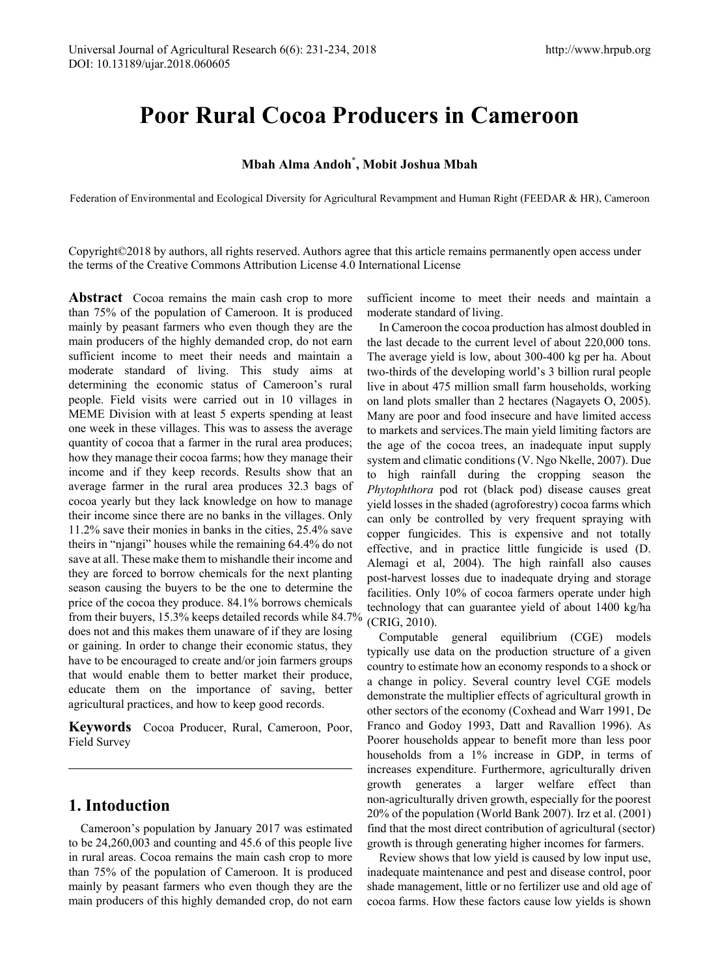# **Poor Rural Cocoa Producers in Cameroon**

## **Mbah Alma Andoh\* , Mobit Joshua Mbah**

Federation of Environmental and Ecological Diversity for Agricultural Revampment and Human Right (FEEDAR & HR), Cameroon

Copyright©2018 by authors, all rights reserved. Authors agree that this article remains permanently open access under the terms of the Creative Commons Attribution License 4.0 International License

**Abstract** Cocoa remains the main cash crop to more than 75% of the population of Cameroon. It is produced mainly by peasant farmers who even though they are the main producers of the highly demanded crop, do not earn sufficient income to meet their needs and maintain a moderate standard of living. This study aims at determining the economic status of Cameroon's rural people. Field visits were carried out in 10 villages in MEME Division with at least 5 experts spending at least one week in these villages. This was to assess the average quantity of cocoa that a farmer in the rural area produces; how they manage their cocoa farms; how they manage their income and if they keep records. Results show that an average farmer in the rural area produces 32.3 bags of cocoa yearly but they lack knowledge on how to manage their income since there are no banks in the villages. Only 11.2% save their monies in banks in the cities, 25.4% save theirs in "njangi" houses while the remaining 64.4% do not save at all. These make them to mishandle their income and they are forced to borrow chemicals for the next planting season causing the buyers to be the one to determine the price of the cocoa they produce. 84.1% borrows chemicals from their buyers, 15.3% keeps detailed records while  $84.7\%$  (CRIG,  $2010$ ). does not and this makes them unaware of if they are losing or gaining. In order to change their economic status, they have to be encouraged to create and/or join farmers groups that would enable them to better market their produce, educate them on the importance of saving, better agricultural practices, and how to keep good records.

**Keywords** Cocoa Producer, Rural, Cameroon, Poor, Field Survey

#### **1. Intoduction**

Cameroon's population by January 2017 was estimated to be 24,260,003 and counting and 45.6 of this people live in rural areas. Cocoa remains the main cash crop to more than 75% of the population of Cameroon. It is produced mainly by peasant farmers who even though they are the main producers of this highly demanded crop, do not earn

sufficient income to meet their needs and maintain a moderate standard of living.

In Cameroon the cocoa production has almost doubled in the last decade to the current level of about 220,000 tons. The average yield is low, about 300-400 kg per ha. About two-thirds of the developing world's 3 billion rural people live in about 475 million small farm households, working on land plots smaller than 2 hectares (Nagayets O, 2005). Many are poor and food insecure and have limited access to markets and services.The main yield limiting factors are the age of the cocoa trees, an inadequate input supply system and climatic conditions (V. Ngo Nkelle, 2007). Due to high rainfall during the cropping season the *Phytophthora* pod rot (black pod) disease causes great yield losses in the shaded (agroforestry) cocoa farms which can only be controlled by very frequent spraying with copper fungicides. This is expensive and not totally effective, and in practice little fungicide is used (D. Alemagi et al, 2004). The high rainfall also causes post-harvest losses due to inadequate drying and storage facilities. Only 10% of cocoa farmers operate under high technology that can guarantee yield of about 1400 kg/ha

Computable general equilibrium (CGE) models typically use data on the production structure of a given country to estimate how an economy responds to a shock or a change in policy. Several country level CGE models demonstrate the multiplier effects of agricultural growth in other sectors of the economy (Coxhead and Warr 1991, De Franco and Godoy 1993, Datt and Ravallion 1996). As Poorer households appear to benefit more than less poor households from a 1% increase in GDP, in terms of increases expenditure. Furthermore, agriculturally driven growth generates a larger welfare effect than non-agriculturally driven growth, especially for the poorest 20% of the population (World Bank 2007). Irz et al. (2001) find that the most direct contribution of agricultural (sector) growth is through generating higher incomes for farmers.

Review shows that low yield is caused by low input use, inadequate maintenance and pest and disease control, poor shade management, little or no fertilizer use and old age of cocoa farms. How these factors cause low yields is shown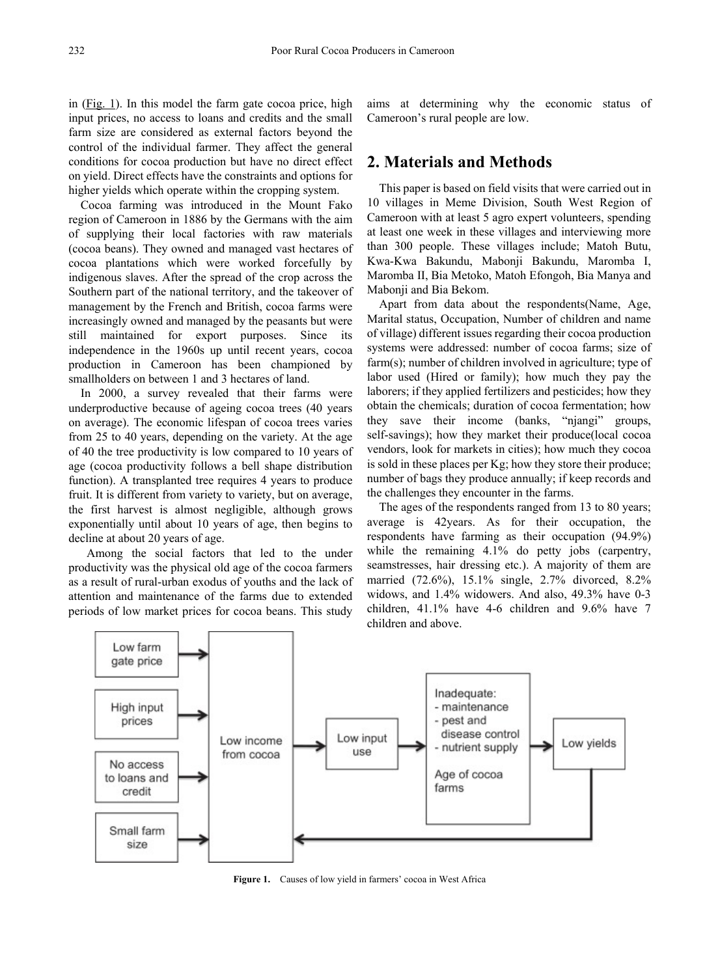in [\(Fig. 1\)](http://www.sciencedirect.com/science/article/pii/S1573521415000160%23fig0005). In this model the farm gate cocoa price, high input prices, no access to loans and credits and the small farm size are considered as external factors beyond the control of the individual farmer. They affect the general conditions for cocoa production but have no direct effect on yield. Direct effects have the constraints and options for higher yields which operate within the cropping system.

Cocoa farming was introduced in the Mount Fako region of Cameroon in 1886 by the Germans with the aim of supplying their local factories with raw materials (cocoa beans). They owned and managed vast hectares of cocoa plantations which were worked forcefully by indigenous slaves. After the spread of the crop across the Southern part of the national territory, and the takeover of management by the French and British, cocoa farms were increasingly owned and managed by the peasants but were still maintained for export purposes. Since its independence in the 1960s up until recent years, cocoa production in Cameroon has been championed by smallholders on between 1 and 3 hectares of land.

In 2000, a survey revealed that their farms were underproductive because of ageing cocoa trees (40 years on average). The economic lifespan of cocoa trees varies from 25 to 40 years, depending on the variety. At the age of 40 the tree productivity is low compared to 10 years of age (cocoa productivity follows a bell shape distribution function). A transplanted tree requires 4 years to produce fruit. It is different from variety to variety, but on average, the first harvest is almost negligible, although grows exponentially until about 10 years of age, then begins to decline at about 20 years of age.

Among the social factors that led to the under productivity was the physical old age of the cocoa farmers as a result of rural-urban exodus of youths and the lack of attention and maintenance of the farms due to extended periods of low market prices for cocoa beans. This study aims at determining why the economic status of Cameroon's rural people are low.

## **2. Materials and Methods**

This paper is based on field visits that were carried out in 10 villages in Meme Division, South West Region of Cameroon with at least 5 agro expert volunteers, spending at least one week in these villages and interviewing more than 300 people. These villages include; Matoh Butu, Kwa-Kwa Bakundu, Mabonji Bakundu, Maromba I, Maromba II, Bia Metoko, Matoh Efongoh, Bia Manya and Mabonji and Bia Bekom.

Apart from data about the respondents(Name, Age, Marital status, Occupation, Number of children and name of village) different issues regarding their cocoa production systems were addressed: number of cocoa farms; size of farm(s); number of children involved in agriculture; type of labor used (Hired or family); how much they pay the laborers; if they applied fertilizers and pesticides; how they obtain the chemicals; duration of cocoa fermentation; how they save their income (banks, "njangi" groups, self-savings); how they market their produce(local cocoa vendors, look for markets in cities); how much they cocoa is sold in these places per Kg; how they store their produce; number of bags they produce annually; if keep records and the challenges they encounter in the farms.

The ages of the respondents ranged from 13 to 80 years; average is 42years. As for their occupation, the respondents have farming as their occupation (94.9%) while the remaining 4.1% do petty jobs (carpentry, seamstresses, hair dressing etc.). A majority of them are married (72.6%), 15.1% single, 2.7% divorced, 8.2% widows, and 1.4% widowers. And also, 49.3% have 0-3 children, 41.1% have 4-6 children and 9.6% have 7 children and above.



**Figure 1.** Causes of low yield in farmers' cocoa in West Africa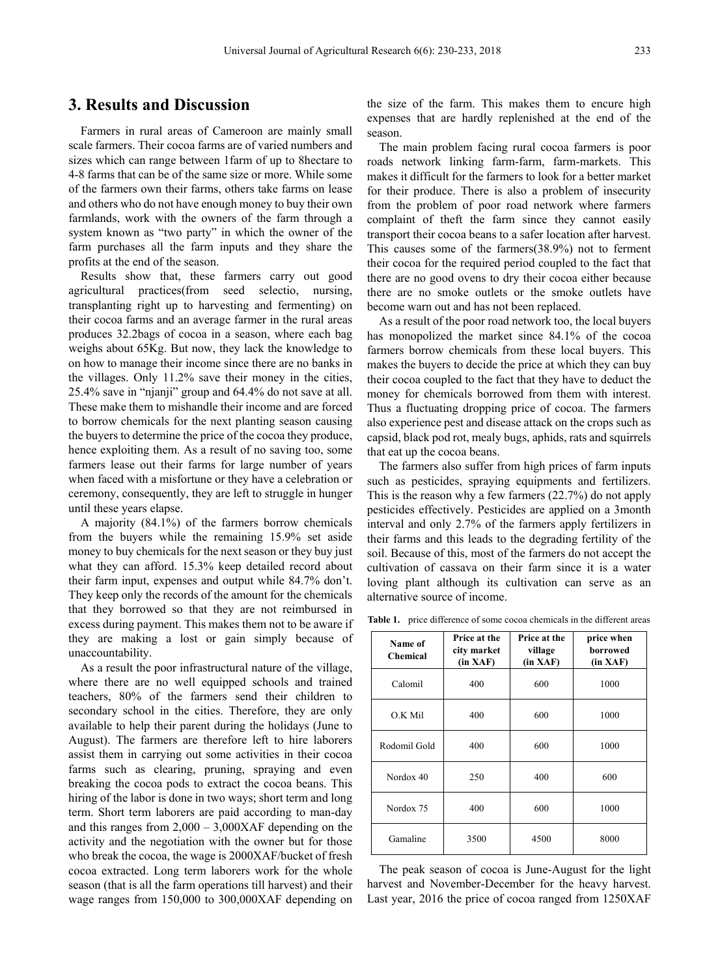## **3. Results and Discussion**

Farmers in rural areas of Cameroon are mainly small scale farmers. Their cocoa farms are of varied numbers and sizes which can range between 1farm of up to 8hectare to 4-8 farms that can be of the same size or more. While some of the farmers own their farms, others take farms on lease and others who do not have enough money to buy their own farmlands, work with the owners of the farm through a system known as "two party" in which the owner of the farm purchases all the farm inputs and they share the profits at the end of the season.

Results show that, these farmers carry out good agricultural practices(from seed selectio, nursing, transplanting right up to harvesting and fermenting) on their cocoa farms and an average farmer in the rural areas produces 32.2bags of cocoa in a season, where each bag weighs about 65Kg. But now, they lack the knowledge to on how to manage their income since there are no banks in the villages. Only 11.2% save their money in the cities, 25.4% save in "njanji" group and 64.4% do not save at all. These make them to mishandle their income and are forced to borrow chemicals for the next planting season causing the buyers to determine the price of the cocoa they produce, hence exploiting them. As a result of no saving too, some farmers lease out their farms for large number of years when faced with a misfortune or they have a celebration or ceremony, consequently, they are left to struggle in hunger until these years elapse.

A majority (84.1%) of the farmers borrow chemicals from the buyers while the remaining 15.9% set aside money to buy chemicals for the next season or they buy just what they can afford. 15.3% keep detailed record about their farm input, expenses and output while 84.7% don't. They keep only the records of the amount for the chemicals that they borrowed so that they are not reimbursed in excess during payment. This makes them not to be aware if they are making a lost or gain simply because of unaccountability.

As a result the poor infrastructural nature of the village, where there are no well equipped schools and trained teachers, 80% of the farmers send their children to secondary school in the cities. Therefore, they are only available to help their parent during the holidays (June to August). The farmers are therefore left to hire laborers assist them in carrying out some activities in their cocoa farms such as clearing, pruning, spraying and even breaking the cocoa pods to extract the cocoa beans. This hiring of the labor is done in two ways; short term and long term. Short term laborers are paid according to man-day and this ranges from  $2,000 - 3,000X$ AF depending on the activity and the negotiation with the owner but for those who break the cocoa, the wage is 2000XAF/bucket of fresh cocoa extracted. Long term laborers work for the whole season (that is all the farm operations till harvest) and their wage ranges from 150,000 to 300,000XAF depending on

the size of the farm. This makes them to encure high expenses that are hardly replenished at the end of the season.

The main problem facing rural cocoa farmers is poor roads network linking farm-farm, farm-markets. This makes it difficult for the farmers to look for a better market for their produce. There is also a problem of insecurity from the problem of poor road network where farmers complaint of theft the farm since they cannot easily transport their cocoa beans to a safer location after harvest. This causes some of the farmers(38.9%) not to ferment their cocoa for the required period coupled to the fact that there are no good ovens to dry their cocoa either because there are no smoke outlets or the smoke outlets have become warn out and has not been replaced.

As a result of the poor road network too, the local buyers has monopolized the market since 84.1% of the cocoa farmers borrow chemicals from these local buyers. This makes the buyers to decide the price at which they can buy their cocoa coupled to the fact that they have to deduct the money for chemicals borrowed from them with interest. Thus a fluctuating dropping price of cocoa. The farmers also experience pest and disease attack on the crops such as capsid, black pod rot, mealy bugs, aphids, rats and squirrels that eat up the cocoa beans.

The farmers also suffer from high prices of farm inputs such as pesticides, spraying equipments and fertilizers. This is the reason why a few farmers (22.7%) do not apply pesticides effectively. Pesticides are applied on a 3month interval and only 2.7% of the farmers apply fertilizers in their farms and this leads to the degrading fertility of the soil. Because of this, most of the farmers do not accept the cultivation of cassava on their farm since it is a water loving plant although its cultivation can serve as an alternative source of income.

**Table 1.** price difference of some cocoa chemicals in the different areas

| Name of<br><b>Chemical</b> | Price at the<br>city market<br>(in XAF) | Price at the<br>village<br>(in XAF) | price when<br>borrowed<br>(in XAF) |
|----------------------------|-----------------------------------------|-------------------------------------|------------------------------------|
| Calomil                    | 400                                     | 600                                 | 1000                               |
| O.K Mil                    | 400                                     | 600                                 | 1000                               |
| Rodomil Gold               | 400                                     | 600                                 | 1000                               |
| Nordox 40                  | 250                                     | 400                                 | 600                                |
| Nordox 75                  | 400                                     | 600                                 | 1000                               |
| Gamaline                   | 3500                                    | 4500                                | 8000                               |

The peak season of cocoa is June-August for the light harvest and November-December for the heavy harvest. Last year, 2016 the price of cocoa ranged from 1250XAF